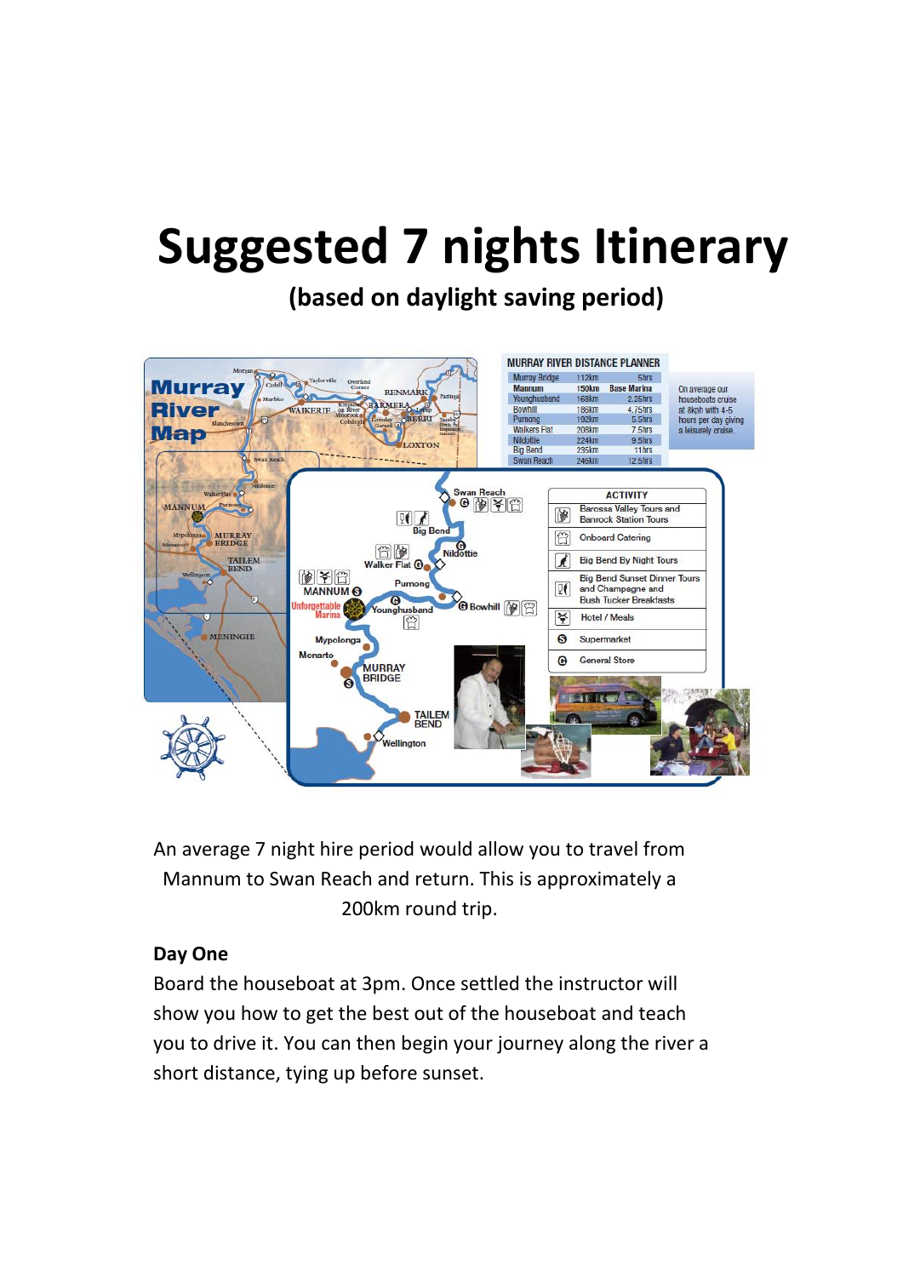# **Suggested 7 nights Itinerary**

## **(based on daylight saving period)**



An average 7 night hire period would allow you to travel from Mannum to Swan Reach and return. This is approximately a 200km round trip.

#### **Day One**

Board the houseboat at 3pm. Once settled the instructor will show you how to get the best out of the houseboat and teach you to drive it. You can then begin your journey along the river a short distance, tying up before sunset.